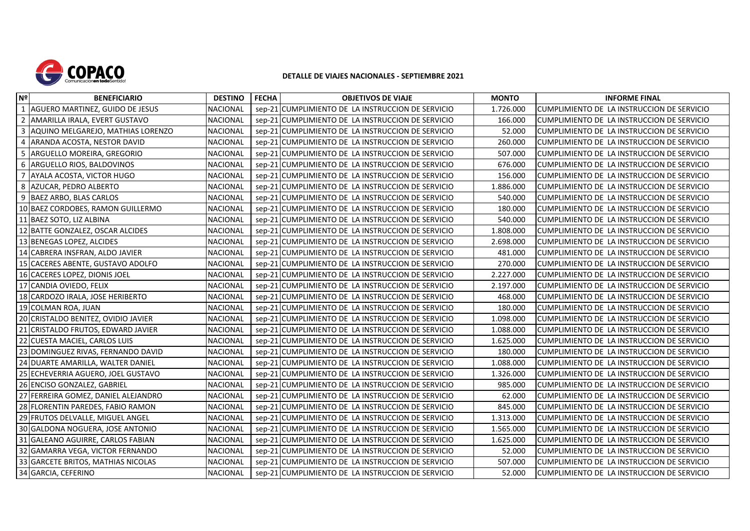

## **DETALLE DE VIAJES NACIONALES - SEPTIEMBRE 2021**

| Nº             | <b>BENEFICIARIO</b>                   | <b>DESTINO</b>  | <b>FECHA</b> | <b>OBJETIVOS DE VIAJE</b>                         | <b>MONTO</b> | <b>INFORME FINAL</b>                        |
|----------------|---------------------------------------|-----------------|--------------|---------------------------------------------------|--------------|---------------------------------------------|
| $\overline{1}$ | AGUERO MARTINEZ, GUIDO DE JESUS       | <b>NACIONAL</b> |              | sep-21 CUMPLIMIENTO DE LA INSTRUCCION DE SERVICIO | 1.726.000    | CUMPLIMIENTO DE LA INSTRUCCION DE SERVICIO  |
| $\overline{2}$ | AMARILLA IRALA, EVERT GUSTAVO         | <b>NACIONAL</b> |              | sep-21 CUMPLIMIENTO DE LA INSTRUCCION DE SERVICIO | 166.000      | ICUMPLIMIENTO DE LA INSTRUCCION DE SERVICIO |
| 3              | AQUINO MELGAREJO, MATHIAS LORENZO     | <b>NACIONAL</b> |              | sep-21 CUMPLIMIENTO DE LA INSTRUCCION DE SERVICIO | 52.000       | CUMPLIMIENTO DE LA INSTRUCCION DE SERVICIO  |
| 4              | ARANDA ACOSTA, NESTOR DAVID           | <b>NACIONAL</b> |              | sep-21 CUMPLIMIENTO DE LA INSTRUCCION DE SERVICIO | 260.000      | CUMPLIMIENTO DE LA INSTRUCCION DE SERVICIO  |
|                | 5 ARGUELLO MOREIRA, GREGORIO          | NACIONAL        |              | sep-21 CUMPLIMIENTO DE LA INSTRUCCION DE SERVICIO | 507.000      | CUMPLIMIENTO DE LA INSTRUCCION DE SERVICIO  |
|                | 6 ARGUELLO RIOS, BALDOVINOS           | <b>NACIONAL</b> |              | sep-21 CUMPLIMIENTO DE LA INSTRUCCION DE SERVICIO | 676.000      | CUMPLIMIENTO DE LA INSTRUCCION DE SERVICIO  |
|                | 7 AYALA ACOSTA, VICTOR HUGO           | <b>NACIONAL</b> |              | sep-21 CUMPLIMIENTO DE LA INSTRUCCION DE SERVICIO | 156.000      | CUMPLIMIENTO DE LA INSTRUCCION DE SERVICIO  |
| 8              | AZUCAR, PEDRO ALBERTO                 | <b>NACIONAL</b> |              | sep-21 CUMPLIMIENTO DE LA INSTRUCCION DE SERVICIO | 1.886.000    | CUMPLIMIENTO DE LA INSTRUCCION DE SERVICIO  |
|                | 9 BAEZ ARBO, BLAS CARLOS              | <b>NACIONAL</b> |              | sep-21 CUMPLIMIENTO DE LA INSTRUCCION DE SERVICIO | 540.000      | CUMPLIMIENTO DE LA INSTRUCCION DE SERVICIO  |
|                | 10 BAEZ CORDOBES, RAMON GUILLERMO     | <b>NACIONAL</b> |              | sep-21 CUMPLIMIENTO DE LA INSTRUCCION DE SERVICIO | 180.000      | CUMPLIMIENTO DE LA INSTRUCCION DE SERVICIO  |
|                | 11 BAEZ SOTO, LIZ ALBINA              | <b>NACIONAL</b> |              | sep-21 CUMPLIMIENTO DE LA INSTRUCCION DE SERVICIO | 540.000      | CUMPLIMIENTO DE LA INSTRUCCION DE SERVICIO  |
|                | 12 BATTE GONZALEZ, OSCAR ALCIDES      | NACIONAL        |              | sep-21 CUMPLIMIENTO DE LA INSTRUCCION DE SERVICIO | 1.808.000    | CUMPLIMIENTO DE LA INSTRUCCION DE SERVICIO  |
|                | 13 BENEGAS LOPEZ, ALCIDES             | <b>NACIONAL</b> |              | sep-21 CUMPLIMIENTO DE LA INSTRUCCION DE SERVICIO | 2.698.000    | ICUMPLIMIENTO DE LA INSTRUCCION DE SERVICIO |
|                | 14 CABRERA INSFRAN, ALDO JAVIER       | <b>NACIONAL</b> |              | sep-21 CUMPLIMIENTO DE LA INSTRUCCION DE SERVICIO | 481.000      | CUMPLIMIENTO DE LA INSTRUCCION DE SERVICIO  |
|                | 15 CACERES ABENTE, GUSTAVO ADOLFO     | <b>NACIONAL</b> |              | sep-21 CUMPLIMIENTO DE LA INSTRUCCION DE SERVICIO | 270.000      | CUMPLIMIENTO DE LA INSTRUCCION DE SERVICIO  |
|                | 16 CACERES LOPEZ, DIONIS JOEL         | <b>NACIONAL</b> |              | sep-21 CUMPLIMIENTO DE LA INSTRUCCION DE SERVICIO | 2.227.000    | CUMPLIMIENTO DE LA INSTRUCCION DE SERVICIO  |
|                | 17 CANDIA OVIEDO, FELIX               | <b>NACIONAL</b> |              | sep-21 CUMPLIMIENTO DE LA INSTRUCCION DE SERVICIO | 2.197.000    | CUMPLIMIENTO DE LA INSTRUCCION DE SERVICIO  |
|                | 18 CARDOZO IRALA, JOSE HERIBERTO      | <b>NACIONAL</b> |              | sep-21 CUMPLIMIENTO DE LA INSTRUCCION DE SERVICIO | 468.000      | CUMPLIMIENTO DE LA INSTRUCCION DE SERVICIO  |
|                | 19 COLMAN ROA, JUAN                   | <b>NACIONAL</b> |              | sep-21 CUMPLIMIENTO DE LA INSTRUCCION DE SERVICIO | 180.000      | CUMPLIMIENTO DE LA INSTRUCCION DE SERVICIO  |
|                | 20 CRISTALDO BENITEZ, OVIDIO JAVIER   | <b>NACIONAL</b> |              | sep-21 CUMPLIMIENTO DE LA INSTRUCCION DE SERVICIO | 1.098.000    | CUMPLIMIENTO DE LA INSTRUCCION DE SERVICIO  |
|                | 21 CRISTALDO FRUTOS, EDWARD JAVIER    | <b>NACIONAL</b> |              | sep-21 CUMPLIMIENTO DE LA INSTRUCCION DE SERVICIO | 1.088.000    | CUMPLIMIENTO DE LA INSTRUCCION DE SERVICIO  |
|                | 22 CUESTA MACIEL, CARLOS LUIS         | <b>NACIONAL</b> |              | sep-21 CUMPLIMIENTO DE LA INSTRUCCION DE SERVICIO | 1.625.000    | CUMPLIMIENTO DE LA INSTRUCCION DE SERVICIO  |
|                | 23 DOMINGUEZ RIVAS, FERNANDO DAVID    | NACIONAL        |              | sep-21 CUMPLIMIENTO DE LA INSTRUCCION DE SERVICIO | 180.000      | CUMPLIMIENTO DE LA INSTRUCCION DE SERVICIO  |
|                | 24 DUARTE AMARILLA, WALTER DANIEL     | <b>NACIONAL</b> |              | sep-21 CUMPLIMIENTO DE LA INSTRUCCION DE SERVICIO | 1.088.000    | CUMPLIMIENTO DE LA INSTRUCCION DE SERVICIO  |
|                | 25 ECHEVERRIA AGUERO, JOEL GUSTAVO    | <b>NACIONAL</b> |              | sep-21 CUMPLIMIENTO DE LA INSTRUCCION DE SERVICIO | 1.326.000    | CUMPLIMIENTO DE LA INSTRUCCION DE SERVICIO  |
|                | 26 ENCISO GONZALEZ, GABRIEL           | <b>NACIONAL</b> |              | sep-21 CUMPLIMIENTO DE LA INSTRUCCION DE SERVICIO | 985.000      | CUMPLIMIENTO DE LA INSTRUCCION DE SERVICIO  |
|                | 27 FERREIRA GOMEZ, DANIEL ALEJANDRO   | <b>NACIONAL</b> |              | sep-21 CUMPLIMIENTO DE LA INSTRUCCION DE SERVICIO | 62.000       | CUMPLIMIENTO DE LA INSTRUCCION DE SERVICIO  |
|                | 28 FLORENTIN PAREDES, FABIO RAMON     | <b>NACIONAL</b> |              | sep-21 CUMPLIMIENTO DE LA INSTRUCCION DE SERVICIO | 845.000      | CUMPLIMIENTO DE LA INSTRUCCION DE SERVICIO  |
|                | 29 FRUTOS DELVALLE, MIGUEL ANGEL      | <b>NACIONAL</b> |              | sep-21 CUMPLIMIENTO DE LA INSTRUCCION DE SERVICIO | 1.313.000    | CUMPLIMIENTO DE LA INSTRUCCION DE SERVICIO  |
|                | 30 GALDONA NOGUERA, JOSE ANTONIO      | NACIONAL        |              | sep-21 CUMPLIMIENTO DE LA INSTRUCCION DE SERVICIO | 1.565.000    | CUMPLIMIENTO DE LA INSTRUCCION DE SERVICIO  |
| 31             | <b>GALEANO AGUIRRE, CARLOS FABIAN</b> | <b>NACIONAL</b> |              | sep-21 CUMPLIMIENTO DE LA INSTRUCCION DE SERVICIO | 1.625.000    | CUMPLIMIENTO DE LA INSTRUCCION DE SERVICIO  |
|                | 32 GAMARRA VEGA, VICTOR FERNANDO      | <b>NACIONAL</b> |              | sep-21 CUMPLIMIENTO DE LA INSTRUCCION DE SERVICIO | 52.000       | CUMPLIMIENTO DE LA INSTRUCCION DE SERVICIO  |
|                | 33 GARCETE BRITOS, MATHIAS NICOLAS    | <b>NACIONAL</b> |              | sep-21 CUMPLIMIENTO DE LA INSTRUCCION DE SERVICIO | 507.000      | CUMPLIMIENTO DE LA INSTRUCCION DE SERVICIO  |
|                | 34 GARCIA, CEFERINO                   | <b>NACIONAL</b> |              | sep-21 CUMPLIMIENTO DE LA INSTRUCCION DE SERVICIO | 52.000       | CUMPLIMIENTO DE LA INSTRUCCION DE SERVICIO  |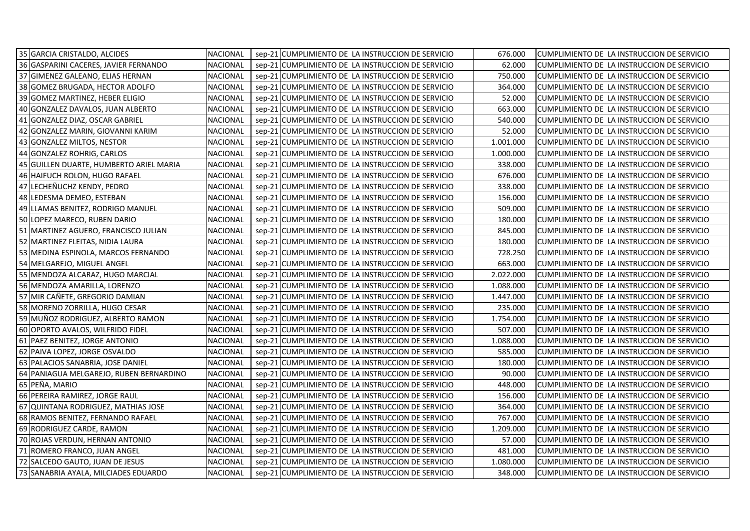| 35 GARCIA CRISTALDO, ALCIDES            | NACIONAL        | sep-21 CUMPLIMIENTO DE LA INSTRUCCION DE SERVICIO | 676.000   | CUMPLIMIENTO DE LA INSTRUCCION DE SERVICIO |
|-----------------------------------------|-----------------|---------------------------------------------------|-----------|--------------------------------------------|
| 36 GASPARINI CACERES, JAVIER FERNANDO   | <b>NACIONAL</b> | sep-21 CUMPLIMIENTO DE LA INSTRUCCION DE SERVICIO | 62.000    | CUMPLIMIENTO DE LA INSTRUCCION DE SERVICIO |
| 37 GIMENEZ GALEANO, ELIAS HERNAN        | <b>NACIONAL</b> | sep-21 CUMPLIMIENTO DE LA INSTRUCCION DE SERVICIO | 750.000   | CUMPLIMIENTO DE LA INSTRUCCION DE SERVICIO |
| 38 GOMEZ BRUGADA, HECTOR ADOLFO         | <b>NACIONAL</b> | sep-21 CUMPLIMIENTO DE LA INSTRUCCION DE SERVICIO | 364.000   | CUMPLIMIENTO DE LA INSTRUCCION DE SERVICIO |
| 39 GOMEZ MARTINEZ, HEBER ELIGIO         | <b>NACIONAL</b> | sep-21 CUMPLIMIENTO DE LA INSTRUCCION DE SERVICIO | 52.000    | CUMPLIMIENTO DE LA INSTRUCCION DE SERVICIO |
| 40 GONZALEZ DAVALOS, JUAN ALBERTO       | <b>NACIONAL</b> | sep-21 CUMPLIMIENTO DE LA INSTRUCCION DE SERVICIO | 663.000   | CUMPLIMIENTO DE LA INSTRUCCION DE SERVICIO |
| 41 GONZALEZ DIAZ, OSCAR GABRIEL         | <b>NACIONAL</b> | sep-21 CUMPLIMIENTO DE LA INSTRUCCION DE SERVICIO | 540.000   | CUMPLIMIENTO DE LA INSTRUCCION DE SERVICIO |
| 42 GONZALEZ MARIN, GIOVANNI KARIM       | <b>NACIONAL</b> | sep-21 CUMPLIMIENTO DE LA INSTRUCCION DE SERVICIO | 52.000    | CUMPLIMIENTO DE LA INSTRUCCION DE SERVICIO |
| 43 GONZALEZ MILTOS, NESTOR              | <b>NACIONAL</b> | sep-21 CUMPLIMIENTO DE LA INSTRUCCION DE SERVICIO | 1.001.000 | CUMPLIMIENTO DE LA INSTRUCCION DE SERVICIO |
| 44 GONZALEZ ROHRIG, CARLOS              | <b>NACIONAL</b> | sep-21 CUMPLIMIENTO DE LA INSTRUCCION DE SERVICIO | 1.000.000 | CUMPLIMIENTO DE LA INSTRUCCION DE SERVICIO |
| 45 GUILLEN DUARTE, HUMBERTO ARIEL MARIA | NACIONAL        | sep-21 CUMPLIMIENTO DE LA INSTRUCCION DE SERVICIO | 338.000   | CUMPLIMIENTO DE LA INSTRUCCION DE SERVICIO |
| 46 HAIFUCH ROLON, HUGO RAFAEL           | <b>NACIONAL</b> | sep-21 CUMPLIMIENTO DE LA INSTRUCCION DE SERVICIO | 676.000   | CUMPLIMIENTO DE LA INSTRUCCION DE SERVICIO |
| 47 LECHEÑUCHZ KENDY, PEDRO              | <b>NACIONAL</b> | sep-21 CUMPLIMIENTO DE LA INSTRUCCION DE SERVICIO | 338.000   | CUMPLIMIENTO DE LA INSTRUCCION DE SERVICIO |
| 48 LEDESMA DEMEO, ESTEBAN               | <b>NACIONAL</b> | sep-21 CUMPLIMIENTO DE LA INSTRUCCION DE SERVICIO | 156.000   | CUMPLIMIENTO DE LA INSTRUCCION DE SERVICIO |
| 49 LLAMAS BENITEZ, RODRIGO MANUEL       | <b>NACIONAL</b> | sep-21 CUMPLIMIENTO DE LA INSTRUCCION DE SERVICIO | 509.000   | CUMPLIMIENTO DE LA INSTRUCCION DE SERVICIO |
| 50 LOPEZ MARECO, RUBEN DARIO            | <b>NACIONAL</b> | sep-21 CUMPLIMIENTO DE LA INSTRUCCION DE SERVICIO | 180.000   | CUMPLIMIENTO DE LA INSTRUCCION DE SERVICIO |
| 51 MARTINEZ AGUERO, FRANCISCO JULIAN    | <b>NACIONAL</b> | sep-21 CUMPLIMIENTO DE LA INSTRUCCION DE SERVICIO | 845.000   | CUMPLIMIENTO DE LA INSTRUCCION DE SERVICIO |
| 52 MARTINEZ FLEITAS, NIDIA LAURA        | <b>NACIONAL</b> | sep-21 CUMPLIMIENTO DE LA INSTRUCCION DE SERVICIO | 180.000   | CUMPLIMIENTO DE LA INSTRUCCION DE SERVICIO |
| 53 MEDINA ESPINOLA, MARCOS FERNANDO     | <b>NACIONAL</b> | sep-21 CUMPLIMIENTO DE LA INSTRUCCION DE SERVICIO | 728.250   | CUMPLIMIENTO DE LA INSTRUCCION DE SERVICIO |
| 54 MELGAREJO, MIGUEL ANGEL              | <b>NACIONAL</b> | sep-21 CUMPLIMIENTO DE LA INSTRUCCION DE SERVICIO | 663.000   | CUMPLIMIENTO DE LA INSTRUCCION DE SERVICIO |
| 55 MENDOZA ALCARAZ, HUGO MARCIAL        | <b>NACIONAL</b> | sep-21 CUMPLIMIENTO DE LA INSTRUCCION DE SERVICIO | 2.022.000 | CUMPLIMIENTO DE LA INSTRUCCION DE SERVICIO |
| 56 MENDOZA AMARILLA, LORENZO            | <b>NACIONAL</b> | sep-21 CUMPLIMIENTO DE LA INSTRUCCION DE SERVICIO | 1.088.000 | CUMPLIMIENTO DE LA INSTRUCCION DE SERVICIO |
| 57 MIR CAÑETE, GREGORIO DAMIAN          | <b>NACIONAL</b> | sep-21 CUMPLIMIENTO DE LA INSTRUCCION DE SERVICIO | 1.447.000 | CUMPLIMIENTO DE LA INSTRUCCION DE SERVICIO |
| 58 MORENO ZORRILLA, HUGO CESAR          | <b>NACIONAL</b> | sep-21 CUMPLIMIENTO DE LA INSTRUCCION DE SERVICIO | 235.000   | CUMPLIMIENTO DE LA INSTRUCCION DE SERVICIO |
| 59 MUÑOZ RODRIGUEZ, ALBERTO RAMON       | NACIONAL        | sep-21 CUMPLIMIENTO DE LA INSTRUCCION DE SERVICIO | 1.754.000 | CUMPLIMIENTO DE LA INSTRUCCION DE SERVICIO |
| 60 OPORTO AVALOS, WILFRIDO FIDEL        | <b>NACIONAL</b> | sep-21 CUMPLIMIENTO DE LA INSTRUCCION DE SERVICIO | 507.000   | CUMPLIMIENTO DE LA INSTRUCCION DE SERVICIO |
| 61 PAEZ BENITEZ, JORGE ANTONIO          | <b>NACIONAL</b> | sep-21 CUMPLIMIENTO DE LA INSTRUCCION DE SERVICIO | 1.088.000 | CUMPLIMIENTO DE LA INSTRUCCION DE SERVICIO |
| 62 PAIVA LOPEZ, JORGE OSVALDO           | <b>NACIONAL</b> | sep-21 CUMPLIMIENTO DE LA INSTRUCCION DE SERVICIO | 585.000   | CUMPLIMIENTO DE LA INSTRUCCION DE SERVICIO |
| 63 PALACIOS SANABRIA, JOSE DANIEL       | <b>NACIONAL</b> | sep-21 CUMPLIMIENTO DE LA INSTRUCCION DE SERVICIO | 180.000   | CUMPLIMIENTO DE LA INSTRUCCION DE SERVICIO |
| 64 PANIAGUA MELGAREJO, RUBEN BERNARDINO | <b>NACIONAL</b> | sep-21 CUMPLIMIENTO DE LA INSTRUCCION DE SERVICIO | 90.000    | CUMPLIMIENTO DE LA INSTRUCCION DE SERVICIO |
| 65 PEÑA, MARIO                          | <b>NACIONAL</b> | sep-21 CUMPLIMIENTO DE LA INSTRUCCION DE SERVICIO | 448.000   | CUMPLIMIENTO DE LA INSTRUCCION DE SERVICIO |
| 66 PEREIRA RAMIREZ, JORGE RAUL          | <b>NACIONAL</b> | sep-21 CUMPLIMIENTO DE LA INSTRUCCION DE SERVICIO | 156.000   | CUMPLIMIENTO DE LA INSTRUCCION DE SERVICIO |
| 67 QUINTANA RODRIGUEZ, MATHIAS JOSE     | <b>NACIONAL</b> | sep-21 CUMPLIMIENTO DE LA INSTRUCCION DE SERVICIO | 364.000   | CUMPLIMIENTO DE LA INSTRUCCION DE SERVICIO |
| 68 RAMOS BENITEZ, FERNANDO RAFAEL       | <b>NACIONAL</b> | sep-21 CUMPLIMIENTO DE LA INSTRUCCION DE SERVICIO | 767.000   | CUMPLIMIENTO DE LA INSTRUCCION DE SERVICIO |
| 69 RODRIGUEZ CARDE, RAMON               | NACIONAL        | sep-21 CUMPLIMIENTO DE LA INSTRUCCION DE SERVICIO | 1.209.000 | CUMPLIMIENTO DE LA INSTRUCCION DE SERVICIO |
| 70 ROJAS VERDUN, HERNAN ANTONIO         | NACIONAL        | sep-21 CUMPLIMIENTO DE LA INSTRUCCION DE SERVICIO | 57.000    | CUMPLIMIENTO DE LA INSTRUCCION DE SERVICIO |
| 71<br>ROMERO FRANCO, JUAN ANGEL         | <b>NACIONAL</b> | sep-21 CUMPLIMIENTO DE LA INSTRUCCION DE SERVICIO | 481.000   | CUMPLIMIENTO DE LA INSTRUCCION DE SERVICIO |
| 72 SALCEDO GAUTO, JUAN DE JESUS         | NACIONAL        | sep-21 CUMPLIMIENTO DE LA INSTRUCCION DE SERVICIO | 1.080.000 | CUMPLIMIENTO DE LA INSTRUCCION DE SERVICIO |
| 73 SANABRIA AYALA, MILCIADES EDUARDO    | <b>NACIONAL</b> | sep-21 CUMPLIMIENTO DE LA INSTRUCCION DE SERVICIO | 348.000   | CUMPLIMIENTO DE LA INSTRUCCION DE SERVICIO |